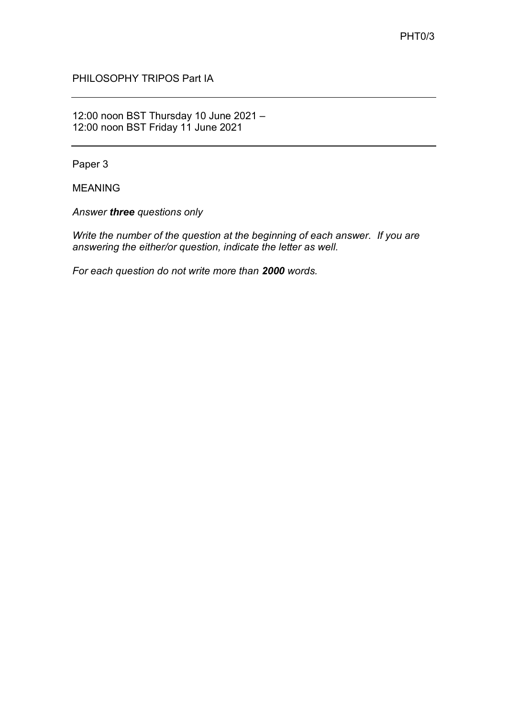PHILOSOPHY TRIPOS Part IA

12:00 noon BST Thursday 10 June 2021 – 12:00 noon BST Friday 11 June 2021

Paper 3

MEANING

*Answer three questions only*

*Write the number of the question at the beginning of each answer. If you are answering the either/or question, indicate the letter as well.*

*For each question do not write more than 2000 words.*